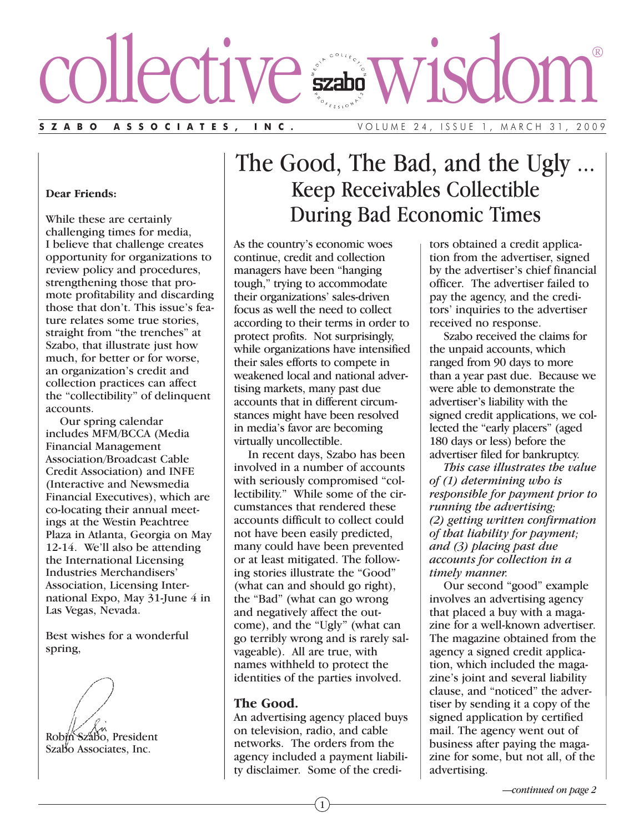# collective wisdom®

**SZABO ASSOCIATES, INC.** VOLUME 24, ISSUE 1, MARCH 31, 2009

## **Dear Friends:**

While these are certainly challenging times for media, I believe that challenge creates opportunity for organizations to review policy and procedures, strengthening those that promote profitability and discarding those that don't. This issue's feature relates some true stories, straight from "the trenches" at Szabo, that illustrate just how much, for better or for worse, an organization's credit and collection practices can affect the "collectibility" of delinquent accounts.

Our spring calendar includes MFM/BCCA (Media Financial Management Association/Broadcast Cable Credit Association) and INFE (Interactive and Newsmedia Financial Executives), which are co-locating their annual meetings at the Westin Peachtree Plaza in Atlanta, Georgia on May 12-14. We'll also be attending the International Licensing Industries Merchandisers' Association, Licensing International Expo, May 31-June 4 in Las Vegas, Nevada.

Best wishes for a wonderful spring,

Robin Szabo, President Szabo Associates, Inc.

The Good, The Bad, and the Ugly ... Keep Receivables Collectible During Bad Economic Times

As the country's economic woes continue, credit and collection managers have been "hanging tough," trying to accommodate their organizations' sales-driven focus as well the need to collect according to their terms in order to protect profits. Not surprisingly, while organizations have intensified their sales efforts to compete in weakened local and national advertising markets, many past due accounts that in different circumstances might have been resolved in media's favor are becoming virtually uncollectible.

In recent days, Szabo has been involved in a number of accounts with seriously compromised "collectibility." While some of the circumstances that rendered these accounts difficult to collect could not have been easily predicted, many could have been prevented or at least mitigated. The following stories illustrate the "Good" (what can and should go right), the "Bad" (what can go wrong and negatively affect the outcome), and the "Ugly" (what can go terribly wrong and is rarely salvageable). All are true, with names withheld to protect the identities of the parties involved.

## **The Good.**

An advertising agency placed buys on television, radio, and cable networks. The orders from the agency included a payment liability disclaimer. Some of the creditors obtained a credit application from the advertiser, signed by the advertiser's chief financial officer. The advertiser failed to pay the agency, and the creditors' inquiries to the advertiser received no response.

Szabo received the claims for the unpaid accounts, which ranged from 90 days to more than a year past due. Because we were able to demonstrate the advertiser's liability with the signed credit applications, we collected the "early placers" (aged 180 days or less) before the advertiser filed for bankruptcy.

*This case illustrates the value of (1) determining who is responsible for payment prior to running the advertising; (2) getting written confirmation of that liability for payment; and (3) placing past due accounts for collection in a timely manner.*

Our second "good" example involves an advertising agency that placed a buy with a magazine for a well-known advertiser. The magazine obtained from the agency a signed credit application, which included the magazine's joint and several liability clause, and "noticed" the advertiser by sending it a copy of the signed application by certified mail. The agency went out of business after paying the magazine for some, but not all, of the advertising.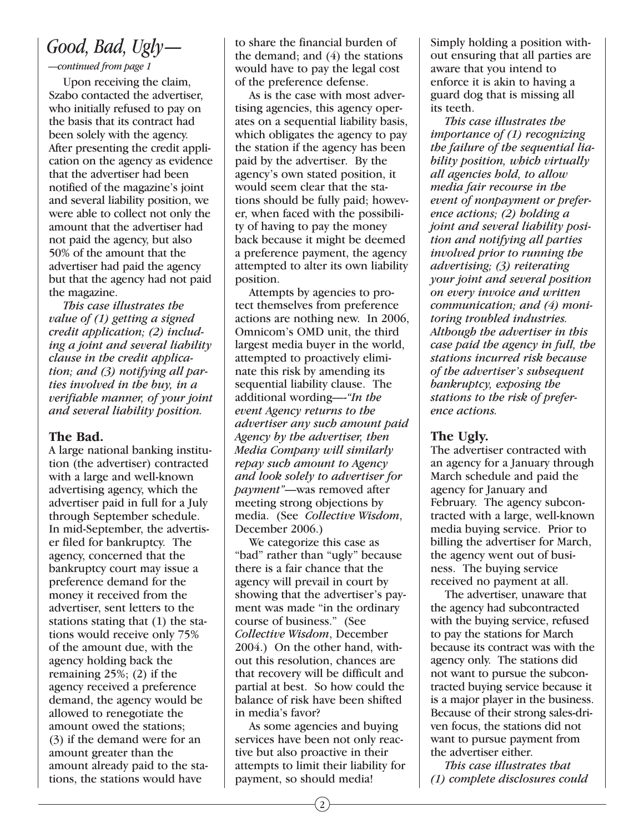# *Good, Bad, Ugly—*

# *—continued from page 1*

Upon receiving the claim, Szabo contacted the advertiser, who initially refused to pay on the basis that its contract had been solely with the agency. After presenting the credit application on the agency as evidence that the advertiser had been notified of the magazine's joint and several liability position, we were able to collect not only the amount that the advertiser had not paid the agency, but also 50% of the amount that the advertiser had paid the agency but that the agency had not paid the magazine.

*This case illustrates the value of (1) getting a signed credit application; (2) including a joint and several liability clause in the credit application; and (3) notifying all parties involved in the buy, in a verifiable manner, of your joint and several liability position.*

# **The Bad.**

A large national banking institution (the advertiser) contracted with a large and well-known advertising agency, which the advertiser paid in full for a July through September schedule. In mid-September, the advertiser filed for bankruptcy. The agency, concerned that the bankruptcy court may issue a preference demand for the money it received from the advertiser, sent letters to the stations stating that (1) the stations would receive only 75% of the amount due, with the agency holding back the remaining 25%; (2) if the agency received a preference demand, the agency would be allowed to renegotiate the amount owed the stations; (3) if the demand were for an amount greater than the amount already paid to the stations, the stations would have

to share the financial burden of the demand; and  $(4)$  the stations would have to pay the legal cost of the preference defense.

As is the case with most advertising agencies, this agency operates on a sequential liability basis, which obligates the agency to pay the station if the agency has been paid by the advertiser. By the agency's own stated position, it would seem clear that the stations should be fully paid; however, when faced with the possibility of having to pay the money back because it might be deemed a preference payment, the agency attempted to alter its own liability position.

Attempts by agencies to protect themselves from preference actions are nothing new. In 2006, Omnicom's OMD unit, the third largest media buyer in the world, attempted to proactively eliminate this risk by amending its sequential liability clause. The additional wording—-*"In the event Agency returns to the advertiser any such amount paid Agency by the advertiser, then Media Company will similarly repay such amount to Agency and look solely to advertiser for payment"*—was removed after meeting strong objections by media. (See *Collective Wisdom*, December 2006.)

We categorize this case as "bad" rather than "ugly" because there is a fair chance that the agency will prevail in court by showing that the advertiser's payment was made "in the ordinary course of business." (See *Collective Wisdom*, December 2004.) On the other hand, without this resolution, chances are that recovery will be difficult and partial at best. So how could the balance of risk have been shifted in media's favor?

As some agencies and buying services have been not only reactive but also proactive in their attempts to limit their liability for payment, so should media!

Simply holding a position without ensuring that all parties are aware that you intend to enforce it is akin to having a guard dog that is missing all its teeth.

*This case illustrates the importance of (1) recognizing the failure of the sequential liability position, which virtually all agencies hold, to allow media fair recourse in the event of nonpayment or preference actions; (2) holding a joint and several liability position and notifying all parties involved prior to running the advertising; (3) reiterating your joint and several position on every invoice and written communication; and (4) monitoring troubled industries. Although the advertiser in this case paid the agency in full, the stations incurred risk because of the advertiser's subsequent bankruptcy, exposing the stations to the risk of preference actions.*

# **The Ugly.**

The advertiser contracted with an agency for a January through March schedule and paid the agency for January and February. The agency subcontracted with a large, well-known media buying service. Prior to billing the advertiser for March, the agency went out of business. The buying service received no payment at all.

The advertiser, unaware that the agency had subcontracted with the buying service, refused to pay the stations for March because its contract was with the agency only. The stations did not want to pursue the subcontracted buying service because it is a major player in the business. Because of their strong sales-driven focus, the stations did not want to pursue payment from the advertiser either.

*This case illustrates that (1) complete disclosures could*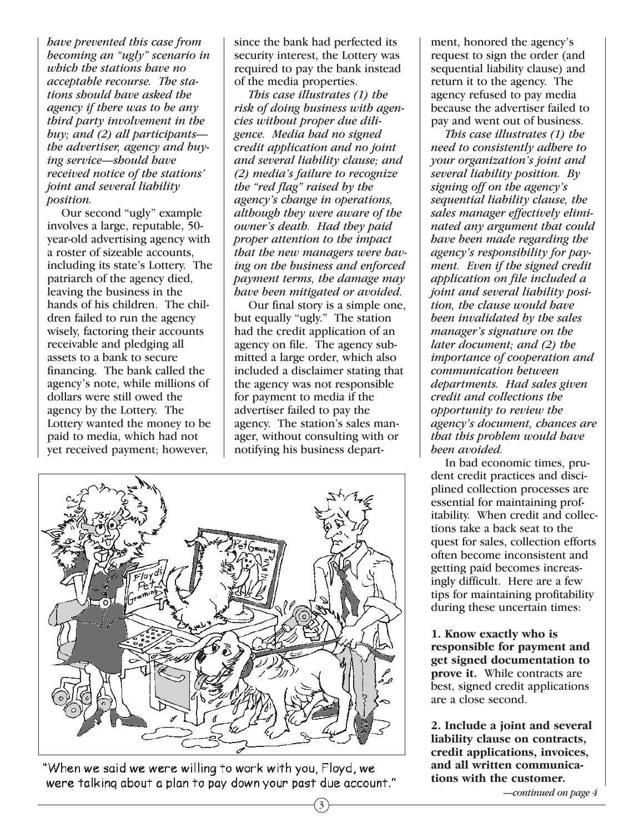*have prevented this case from becoming an "ugly" scenario in which the stations have no acceptable recourse. The stations should have asked the agency if there was to be any third party involvement in the buy; and (2) all participants the advertiser, agency and buying service—should have received notice of the stations' joint and several liability position.*

Our second "ugly" example involves a large, reputable, 50 year-old advertising agency with a roster of sizeable accounts, including its state's Lottery. The patriarch of the agency died, leaving the business in the hands of his children. The children failed to run the agency wisely, factoring their accounts receivable and pledging all assets to a bank to secure financing. The bank called the agency's note, while millions of dollars were still owed the agency by the Lottery. The Lottery wanted the money to be paid to media, which had not yet received payment; however,

since the bank had perfected its security interest, the Lottery was required to pay the bank instead of the media properties.

*This case illustrates (1) the risk of doing business with agencies without proper due diligence. Media had no signed credit application and no joint and several liability clause; and (2) media's failure to recognize the "red flag" raised by the agency's change in operations, although they were aware of the owner's death. Had they paid proper attention to the impact that the new managers were having on the business and enforced payment terms, the damage may have been mitigated or avoided.*

Our final story is a simple one, but equally "ugly." The station had the credit application of an agency on file. The agency submitted a large order, which also included a disclaimer stating that the agency was not responsible for payment to media if the advertiser failed to pay the agency. The station's sales manager, without consulting with or notifying his business depart-

3



"When we said we were willing to work with you, Floyd, we were talking about a plan to pay down your past due account." ment, honored the agency's request to sign the order (and sequential liability clause) and return it to the agency. The agency refused to pay media because the advertiser failed to pay and went out of business.

*This case illustrates (1) the need to consistently adhere to your organization's joint and several liability position. By signing off on the agency's sequential liability clause, the sales manager effectively eliminated any argument that could have been made regarding the agency's responsibility for payment. Even if the signed credit application on file included a joint and several liability position, the clause would have been invalidated by the sales manager's signature on the later document; and (2) the importance of cooperation and communication between departments. Had sales given credit and collections the opportunity to review the agency's document, chances are that this problem would have been avoided.*

In bad economic times, prudent credit practices and disciplined collection processes are essential for maintaining profitability. When credit and collections take a back seat to the quest for sales, collection efforts often become inconsistent and getting paid becomes increasingly difficult. Here are a few tips for maintaining profitability during these uncertain times:

**1. Know exactly who is responsible for payment and get signed documentation to prove it.** While contracts are best, signed credit applications are a close second.

**2. Include a joint and several liability clause on contracts, credit applications, invoices, and all written communications with the customer.**